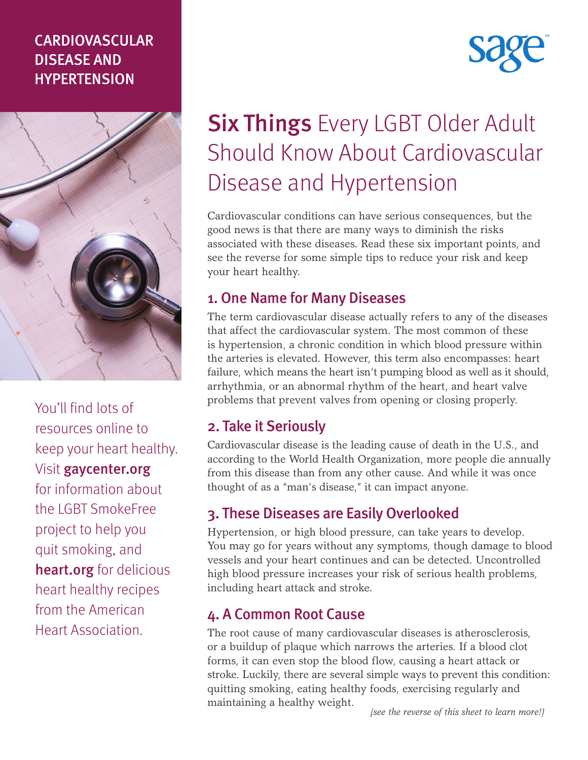### CARDIOVASCULAR DISEASE AND HYPERTENSION



You'll find lots of resources online to keep your heart healthy. Visit gaycenter.org for information about the LGBT SmokeFree project to help you quit smoking, and heart.org for delicious heart healthy recipes from the American Heart Association.

# **Six Things Every LGBT Older Adult** Should Know About Cardiovascular Disease and Hypertension

Cardiovascular conditions can have serious consequences, but the good news is that there are many ways to diminish the risks associated with these diseases. Read these six important points, and see the reverse for some simple tips to reduce your risk and keep your heart healthy.

#### 1. One Name for Many Diseases

The term cardiovascular disease actually refers to any of the diseases that affect the cardiovascular system. The most common of these is hypertension, a chronic condition in which blood pressure within the arteries is elevated. However, this term also encompasses: heart failure, which means the heart isn't pumping blood as well as it should, arrhythmia, or an abnormal rhythm of the heart, and heart valve problems that prevent valves from opening or closing properly.

### 2. Take it Seriously

Cardiovascular disease is the leading cause of death in the U.S., and according to the World Health Organization, more people die annually from this disease than from any other cause. And while it was once thought of as a "man's disease," it can impact anyone.

### 3. These Diseases are Easily Overlooked

Hypertension, or high blood pressure, can take years to develop. You may go for years without any symptoms, though damage to blood vessels and your heart continues and can be detected. Uncontrolled high blood pressure increases your risk of serious health problems, including heart attack and stroke.

### 4. A Common Root Cause

The root cause of many cardiovascular diseases is atherosclerosis, or a buildup of plaque which narrows the arteries. If a blood clot forms, it can even stop the blood flow, causing a heart attack or stroke. Luckily, there are several simple ways to prevent this condition: quitting smoking, eating healthy foods, exercising regularly and maintaining a healthy weight.